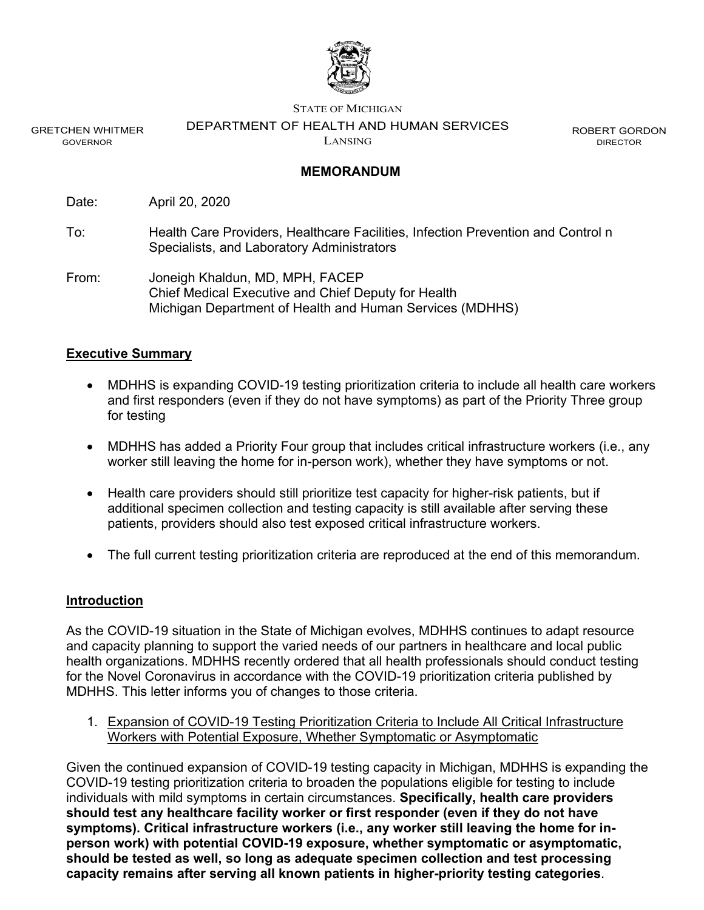

GRETCHEN WHITMER GOVERNOR

STATE OF MICHIGAN DEPARTMENT OF HEALTH AND HUMAN SERVICES

LANSING

ROBERT GORDON DIRECTOR

#### **MEMORANDUM**

Date: April 20, 2020

To: Health Care Providers, Healthcare Facilities, Infection Prevention and Control n Specialists, and Laboratory Administrators

From: Joneigh Khaldun, MD, MPH, FACEP Chief Medical Executive and Chief Deputy for Health Michigan Department of Health and Human Services (MDHHS)

#### **Executive Summary**

- MDHHS is expanding COVID-19 testing prioritization criteria to include all health care workers and first responders (even if they do not have symptoms) as part of the Priority Three group for testing
- MDHHS has added a Priority Four group that includes critical infrastructure workers (i.e., any worker still leaving the home for in-person work), whether they have symptoms or not.
- Health care providers should still prioritize test capacity for higher-risk patients, but if additional specimen collection and testing capacity is still available after serving these patients, providers should also test exposed critical infrastructure workers.
- The full current testing prioritization criteria are reproduced at the end of this memorandum.

#### **Introduction**

As the COVID-19 situation in the State of Michigan evolves, MDHHS continues to adapt resource and capacity planning to support the varied needs of our partners in healthcare and local public health organizations. MDHHS recently ordered that all health professionals should conduct testing for the Novel Coronavirus in accordance with the COVID-19 prioritization criteria published by MDHHS. This letter informs you of changes to those criteria.

1. Expansion of COVID-19 Testing Prioritization Criteria to Include All Critical Infrastructure Workers with Potential Exposure, Whether Symptomatic or Asymptomatic

Given the continued expansion of COVID-19 testing capacity in Michigan, MDHHS is expanding the COVID-19 testing prioritization criteria to broaden the populations eligible for testing to include individuals with mild symptoms in certain circumstances. **Specifically, health care providers should test any healthcare facility worker or first responder (even if they do not have symptoms). Critical infrastructure workers (i.e., any worker still leaving the home for inperson work) with potential COVID-19 exposure, whether symptomatic or asymptomatic, should be tested as well, so long as adequate specimen collection and test processing capacity remains after serving all known patients in higher-priority testing categories**.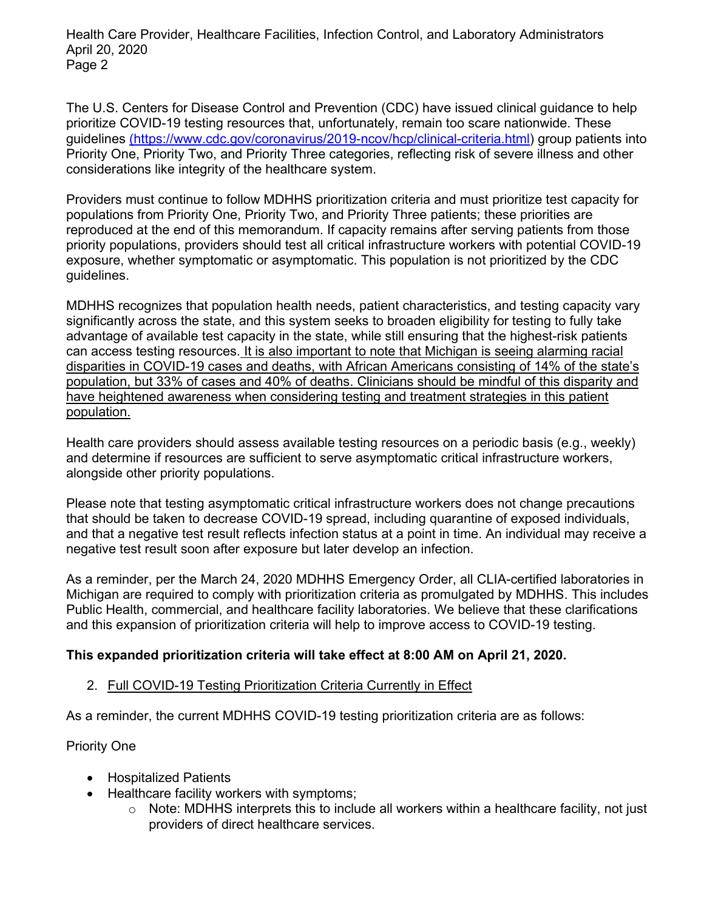Health Care Provider, Healthcare Facilities, Infection Control, and Laboratory Administrators April 20, 2020 Page 2

The U.S. Centers for Disease Control and Prevention (CDC) have issued clinical guidance to help prioritize COVID-19 testing resources that, unfortunately, remain too scare nationwide. These guidelines (https://www.cdc.gov/coronavirus/2019-ncov/hcp/clinical-criteria.html) group patients into Priority One, Priority Two, and Priority Three categories, reflecting risk of severe illness and other considerations like integrity of the healthcare system.

Providers must continue to follow MDHHS prioritization criteria and must prioritize test capacity for populations from Priority One, Priority Two, and Priority Three patients; these priorities are reproduced at the end of this memorandum. If capacity remains after serving patients from those priority populations, providers should test all critical infrastructure workers with potential COVID-19 exposure, whether symptomatic or asymptomatic. This population is not prioritized by the CDC guidelines.

MDHHS recognizes that population health needs, patient characteristics, and testing capacity vary significantly across the state, and this system seeks to broaden eligibility for testing to fully take advantage of available test capacity in the state, while still ensuring that the highest-risk patients can access testing resources. It is also important to note that Michigan is seeing alarming racial disparities in COVID-19 cases and deaths, with African Americans consisting of 14% of the state's population, but 33% of cases and 40% of deaths. Clinicians should be mindful of this disparity and have heightened awareness when considering testing and treatment strategies in this patient population.

Health care providers should assess available testing resources on a periodic basis (e.g., weekly) and determine if resources are sufficient to serve asymptomatic critical infrastructure workers, alongside other priority populations.

Please note that testing asymptomatic critical infrastructure workers does not change precautions that should be taken to decrease COVID-19 spread, including quarantine of exposed individuals, and that a negative test result reflects infection status at a point in time. An individual may receive a negative test result soon after exposure but later develop an infection.

As a reminder, per the March 24, 2020 MDHHS Emergency Order, all CLIA-certified laboratories in Michigan are required to comply with prioritization criteria as promulgated by MDHHS. This includes Public Health, commercial, and healthcare facility laboratories. We believe that these clarifications and this expansion of prioritization criteria will help to improve access to COVID-19 testing.

## **This expanded prioritization criteria will take effect at 8:00 AM on April 21, 2020.**

## 2. Full COVID-19 Testing Prioritization Criteria Currently in Effect

As a reminder, the current MDHHS COVID-19 testing prioritization criteria are as follows:

# Priority One

- Hospitalized Patients
- Healthcare facility workers with symptoms;
	- o Note: MDHHS interprets this to include all workers within a healthcare facility, not just providers of direct healthcare services.